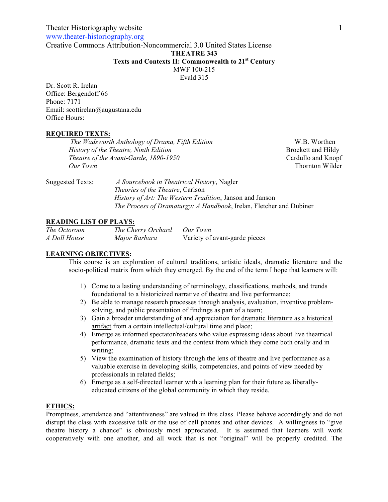www.theater-historiography.org

Creative Commons Attribution-Noncommercial 3.0 United States License

# **THEATRE 343**

# **Texts and Contexts II: Commonwealth to 21st Century**

MWF 100-215

Evald 315

Dr. Scott R. Irelan Office: Bergendoff 66 Phone: 7171 Email: scottirelan@augustana.edu Office Hours:

#### **REQUIRED TEXTS:**

| The Wadsworth Anthology of Drama, Fifth Edition | W.B. Worthen       |
|-------------------------------------------------|--------------------|
| History of the Theatre, Ninth Edition           | Brockett and Hildy |
| Theatre of the Avant-Garde, 1890-1950           | Cardullo and Knopf |
| Our Town                                        | Thornton Wilder    |
|                                                 |                    |

Suggested Texts: *A Sourcebook in Theatrical History*, Nagler *Theories of the Theatre*, Carlson *History of Art: The Western Tradition*, Janson and Janson *The Process of Dramaturgy: A Handbook*, Irelan, Fletcher and Dubiner

# **READING LIST OF PLAYS:**

| The Octoroon | The Cherry Orchard | Our Town                      |
|--------------|--------------------|-------------------------------|
| A Doll House | Major Barbara      | Variety of avant-garde pieces |

# **LEARNING OBJECTIVES:**

This course is an exploration of cultural traditions, artistic ideals, dramatic literature and the socio-political matrix from which they emerged. By the end of the term I hope that learners will:

- 1) Come to a lasting understanding of terminology, classifications, methods, and trends foundational to a historicized narrative of theatre and live performance;
- 2) Be able to manage research processes through analysis, evaluation, inventive problemsolving, and public presentation of findings as part of a team;
- 3) Gain a broader understanding of and appreciation for dramatic literature as a historical artifact from a certain intellectual/cultural time and place;
- 4) Emerge as informed spectator/readers who value expressing ideas about live theatrical performance, dramatic texts and the context from which they come both orally and in writing;
- 5) View the examination of history through the lens of theatre and live performance as a valuable exercise in developing skills, competencies, and points of view needed by professionals in related fields;
- 6) Emerge as a self-directed learner with a learning plan for their future as liberallyeducated citizens of the global community in which they reside.

## **ETHICS:**

Promptness, attendance and "attentiveness" are valued in this class. Please behave accordingly and do not disrupt the class with excessive talk or the use of cell phones and other devices. A willingness to "give theatre history a chance" is obviously most appreciated. It is assumed that learners will work cooperatively with one another, and all work that is not "original" will be properly credited. The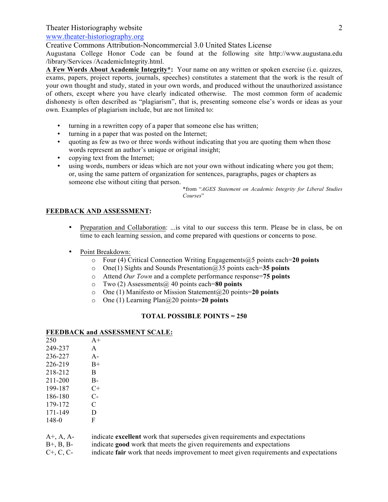# www.theater-historiography.org

Creative Commons Attribution-Noncommercial 3.0 United States License

Augustana College Honor Code can be found at the following site http://www.augustana.edu /library/Services /AcademicIntegrity.html.

**A Few Words About Academic Integrity\*:** Your name on any written or spoken exercise (i.e. quizzes, exams, papers, project reports, journals, speeches) constitutes a statement that the work is the result of your own thought and study, stated in your own words, and produced without the unauthorized assistance of others, except where you have clearly indicated otherwise. The most common form of academic dishonesty is often described as "plagiarism", that is, presenting someone else's words or ideas as your own. Examples of plagiarism include, but are not limited to:

- turning in a rewritten copy of a paper that someone else has written;
- turning in a paper that was posted on the Internet;
- quoting as few as two or three words without indicating that you are quoting them when those words represent an author's unique or original insight;
- copying text from the Internet;
- using words, numbers or ideas which are not your own without indicating where you got them; or, using the same pattern of organization for sentences, paragraphs, pages or chapters as someone else without citing that person.

\*from "*AGES Statement on Academic Integrity for Liberal Studies Courses*"

## **FEEDBACK AND ASSESSMENT:**

- Preparation and Collaboration: ...is vital to our success this term. Please be in class, be on time to each learning session, and come prepared with questions or concerns to pose.
- Point Breakdown:
	- o Four (4) Critical Connection Writing Engagements@5 points each=**20 points**
	- o One(1) Sights and Sounds Presentation@35 points each=**35 points**
	- o Attend *Our Town* and a complete performance response=**75 points**
	- o Two (2) Assessments@ 40 points each=**80 points**
	- o One (1) Manifesto or Mission Statement@20 points=**20 points**
	- o One (1) Learning Plan@20 points=**20 points**

#### **TOTAL POSSIBLE POINTS = 250**

#### **FEEDBACK and ASSESSMENT SCALE:**

| 250     | $A+$  |
|---------|-------|
| 249-237 | A     |
| 236-227 | $A -$ |
| 226-219 | $B+$  |
| 218-212 | B     |
| 211-200 | $B -$ |
| 199-187 | $C+$  |
| 186-180 | C-    |
| 179-172 | C     |
| 171-149 | D     |
| 148-0   | F     |
|         |       |

- A+, A, A- indicate **excellent** work that supersedes given requirements and expectations
- B+, B, B- indicate **good** work that meets the given requirements and expectations
- C+, C, C- indicate **fair** work that needs improvement to meet given requirements and expectations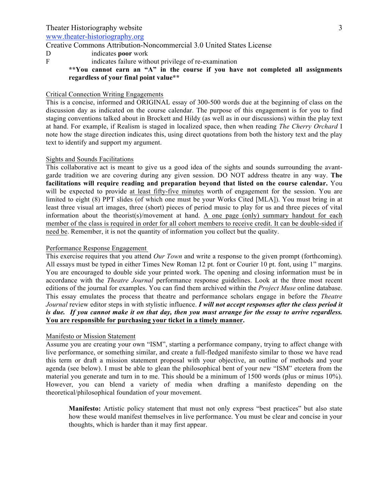www.theater-historiography.org

Creative Commons Attribution-Noncommercial 3.0 United States License

- D indicates **poor** work
- F indicates failure without privilege of re-examination

# **\*\*You cannot earn an "A" in the course if you have not completed all assignments regardless of your final point value\*\***

# Critical Connection Writing Engagements

This is a concise, informed and ORIGINAL essay of 300-500 words due at the beginning of class on the discussion day as indicated on the course calendar. The purpose of this engagement is for you to find staging conventions talked about in Brockett and Hildy (as well as in our discussions) within the play text at hand. For example, if Realism is staged in localized space, then when reading *The Cherry Orchard* I note how the stage direction indicates this, using direct quotations from both the history text and the play text to identify and support my argument.

#### Sights and Sounds Facilitations

This collaborative act is meant to give us a good idea of the sights and sounds surrounding the avantgarde tradition we are covering during any given session. DO NOT address theatre in any way. **The facilitations will require reading and preparation beyond that listed on the course calendar.** You will be expected to provide at least fifty-five minutes worth of engagement for the session. You are limited to eight (8) PPT slides (of which one must be your Works Cited [MLA]). You must bring in at least three visual art images, three (short) pieces of period music to play for us and three pieces of vital information about the theorist(s)/movement at hand. A one page (only) summary handout for each member of the class is required in order for all cohort members to receive credit. It can be double-sided if need be. Remember, it is not the quantity of information you collect but the quality.

#### Performance Response Engagement

This exercise requires that you attend *Our Town* and write a response to the given prompt (forthcoming). All essays must be typed in either Times New Roman 12 pt. font or Courier 10 pt. font, using 1" margins. You are encouraged to double side your printed work. The opening and closing information must be in accordance with the *Theatre Journal* performance response guidelines. Look at the three most recent editions of the journal for examples. You can find them archived within the *Project Muse* online database. This essay emulates the process that theatre and performance scholars engage in before the *Theatre Journal* review editor steps in with stylistic influence. *I will not accept responses after the class period it is due. If you cannot make it on that day, then you must arrange for the essay to arrive regardless.*  **You are responsible for purchasing your ticket in a timely manner.** 

## Manifesto or Mission Statement

Assume you are creating your own "ISM", starting a performance company, trying to affect change with live performance, or something similar, and create a full-fledged manifesto similar to those we have read this term or draft a mission statement proposal with your objective, an outline of methods and your agenda (see below). I must be able to glean the philosophical bent of your new "ISM" etcetera from the material you generate and turn in to me. This should be a minimum of 1500 words (plus or minus 10%). However, you can blend a variety of media when drafting a manifesto depending on the theoretical/philosophical foundation of your movement.

**Manifesto:** Artistic policy statement that must not only express "best practices" but also state how these would manifest themselves in live performance. You must be clear and concise in your thoughts, which is harder than it may first appear.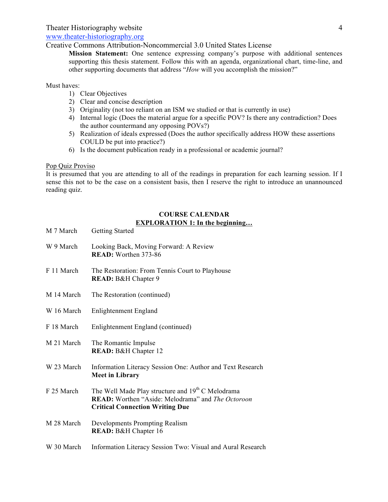www.theater-historiography.org

Creative Commons Attribution-Noncommercial 3.0 United States License

**Mission Statement:** One sentence expressing company's purpose with additional sentences supporting this thesis statement. Follow this with an agenda, organizational chart, time-line, and other supporting documents that address "*How* will you accomplish the mission?"

Must haves:

- 1) Clear Objectives
- 2) Clear and concise description
- 3) Originality (not too reliant on an ISM we studied or that is currently in use)
- 4) Internal logic (Does the material argue for a specific POV? Is there any contradiction? Does the author countermand any opposing POVs?)
- 5) Realization of ideals expressed (Does the author specifically address HOW these assertions COULD be put into practice?)
- 6) Is the document publication ready in a professional or academic journal?

# Pop Quiz Proviso

It is presumed that you are attending to all of the readings in preparation for each learning session. If I sense this not to be the case on a consistent basis, then I reserve the right to introduce an unannounced reading quiz.

## **COURSE CALENDAR EXPLORATION 1: In the beginning…**

| M 7 March  | <b>Getting Started</b>                                                                                                                                                     |
|------------|----------------------------------------------------------------------------------------------------------------------------------------------------------------------------|
| W 9 March  | Looking Back, Moving Forward: A Review<br>READ: Worthen 373-86                                                                                                             |
| F 11 March | The Restoration: From Tennis Court to Playhouse<br>READ: B&H Chapter 9                                                                                                     |
| M 14 March | The Restoration (continued)                                                                                                                                                |
| W 16 March | Enlightenment England                                                                                                                                                      |
| F 18 March | Enlightenment England (continued)                                                                                                                                          |
| M 21 March | The Romantic Impulse<br>READ: B&H Chapter 12                                                                                                                               |
| W 23 March | Information Literacy Session One: Author and Text Research<br><b>Meet in Library</b>                                                                                       |
| F 25 March | The Well Made Play structure and 19 <sup>th</sup> C Melodrama<br><b>READ:</b> Worthen "Aside: Melodrama" and <i>The Octoroon</i><br><b>Critical Connection Writing Due</b> |
| M 28 March | Developments Prompting Realism<br>READ: B&H Chapter 16                                                                                                                     |
| W 30 March | Information Literacy Session Two: Visual and Aural Research                                                                                                                |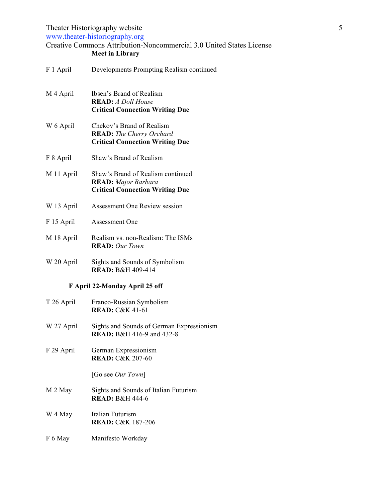www.theater-historiography.org

# Creative Commons Attribution-Noncommercial 3.0 United States License **Meet in Library**

| F 1 April  | Developments Prompting Realism continued                                                                  |
|------------|-----------------------------------------------------------------------------------------------------------|
| M 4 April  | Ibsen's Brand of Realism<br><b>READ:</b> A Doll House<br><b>Critical Connection Writing Due</b>           |
| W 6 April  | Chekov's Brand of Realism<br><b>READ:</b> The Cherry Orchard<br><b>Critical Connection Writing Due</b>    |
| F 8 April  | Shaw's Brand of Realism                                                                                   |
| M 11 April | Shaw's Brand of Realism continued<br><b>READ:</b> Major Barbara<br><b>Critical Connection Writing Due</b> |
| W 13 April | Assessment One Review session                                                                             |
| F 15 April | Assessment One                                                                                            |
| M 18 April | Realism vs. non-Realism: The ISMs<br><b>READ:</b> Our Town                                                |
| W 20 April | Sights and Sounds of Symbolism<br>READ: B&H 409-414                                                       |
|            | F April 22-Monday April 25 off                                                                            |
| T 26 April | Franco-Russian Symbolism<br><b>READ: C&amp;K 41-61</b>                                                    |
| W 27 April | Sights and Sounds of German Expressionism<br>READ: B&H 416-9 and 432-8                                    |
| F 29 April | German Expressionism<br><b>READ: C&amp;K 207-60</b>                                                       |
|            | [Go see <i>Our Town</i> ]                                                                                 |
| M 2 May    | Sights and Sounds of Italian Futurism<br><b>READ: B&amp;H 444-6</b>                                       |
| W 4 May    | Italian Futurism<br><b>READ: C&amp;K 187-206</b>                                                          |
| F 6 May    | Manifesto Workday                                                                                         |
|            |                                                                                                           |